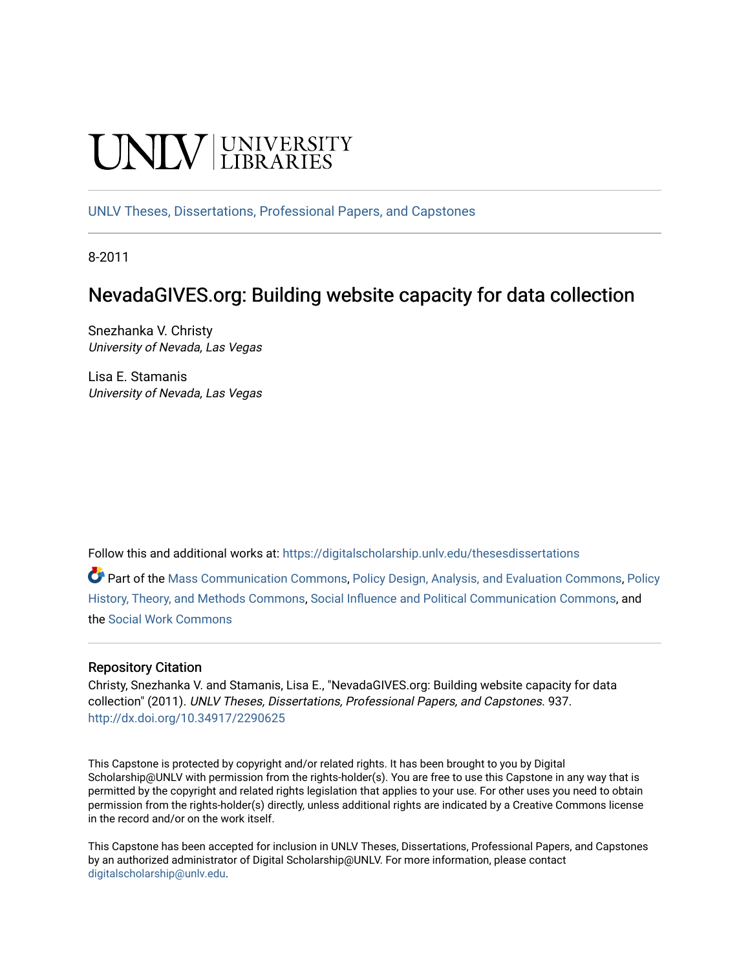# **INIVERSITY**

[UNLV Theses, Dissertations, Professional Papers, and Capstones](https://digitalscholarship.unlv.edu/thesesdissertations)

8-2011

# NevadaGIVES.org: Building website capacity for data collection

Snezhanka V. Christy University of Nevada, Las Vegas

Lisa E. Stamanis University of Nevada, Las Vegas

Follow this and additional works at: [https://digitalscholarship.unlv.edu/thesesdissertations](https://digitalscholarship.unlv.edu/thesesdissertations?utm_source=digitalscholarship.unlv.edu%2Fthesesdissertations%2F937&utm_medium=PDF&utm_campaign=PDFCoverPages)

Part of the [Mass Communication Commons,](http://network.bepress.com/hgg/discipline/334?utm_source=digitalscholarship.unlv.edu%2Fthesesdissertations%2F937&utm_medium=PDF&utm_campaign=PDFCoverPages) [Policy Design, Analysis, and Evaluation Commons,](http://network.bepress.com/hgg/discipline/1032?utm_source=digitalscholarship.unlv.edu%2Fthesesdissertations%2F937&utm_medium=PDF&utm_campaign=PDFCoverPages) [Policy](http://network.bepress.com/hgg/discipline/1036?utm_source=digitalscholarship.unlv.edu%2Fthesesdissertations%2F937&utm_medium=PDF&utm_campaign=PDFCoverPages)  [History, Theory, and Methods Commons](http://network.bepress.com/hgg/discipline/1036?utm_source=digitalscholarship.unlv.edu%2Fthesesdissertations%2F937&utm_medium=PDF&utm_campaign=PDFCoverPages), [Social Influence and Political Communication Commons](http://network.bepress.com/hgg/discipline/337?utm_source=digitalscholarship.unlv.edu%2Fthesesdissertations%2F937&utm_medium=PDF&utm_campaign=PDFCoverPages), and the [Social Work Commons](http://network.bepress.com/hgg/discipline/713?utm_source=digitalscholarship.unlv.edu%2Fthesesdissertations%2F937&utm_medium=PDF&utm_campaign=PDFCoverPages) 

# Repository Citation

Christy, Snezhanka V. and Stamanis, Lisa E., "NevadaGIVES.org: Building website capacity for data collection" (2011). UNLV Theses, Dissertations, Professional Papers, and Capstones. 937. <http://dx.doi.org/10.34917/2290625>

This Capstone is protected by copyright and/or related rights. It has been brought to you by Digital Scholarship@UNLV with permission from the rights-holder(s). You are free to use this Capstone in any way that is permitted by the copyright and related rights legislation that applies to your use. For other uses you need to obtain permission from the rights-holder(s) directly, unless additional rights are indicated by a Creative Commons license in the record and/or on the work itself.

This Capstone has been accepted for inclusion in UNLV Theses, Dissertations, Professional Papers, and Capstones by an authorized administrator of Digital Scholarship@UNLV. For more information, please contact [digitalscholarship@unlv.edu](mailto:digitalscholarship@unlv.edu).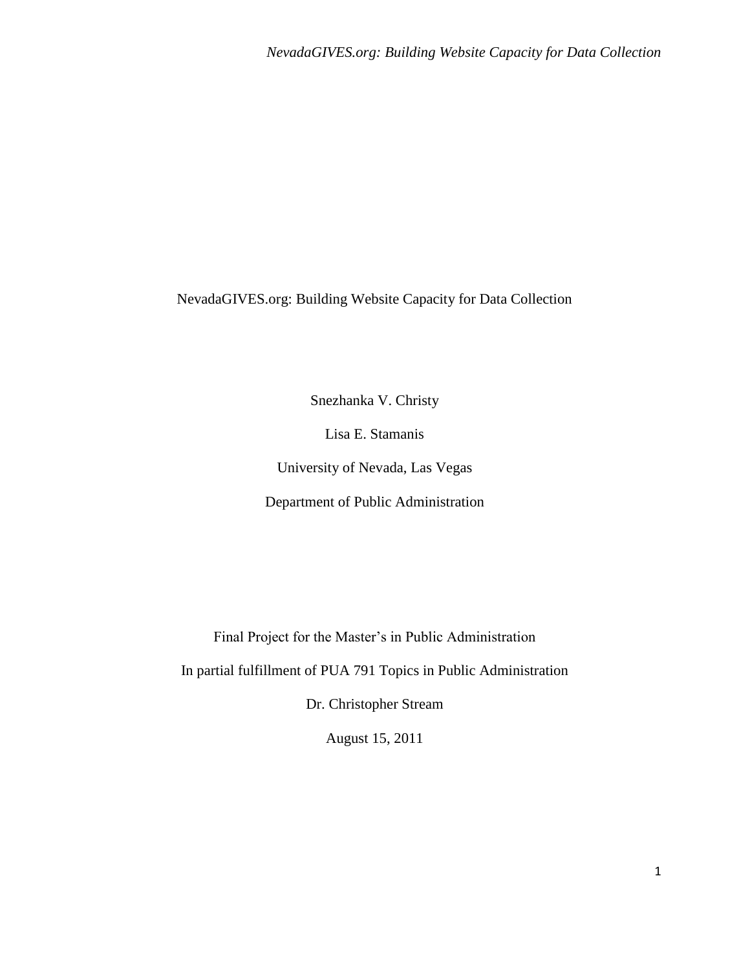NevadaGIVES.org: Building Website Capacity for Data Collection

Snezhanka V. Christy

Lisa E. Stamanis

University of Nevada, Las Vegas

Department of Public Administration

Final Project for the Master's in Public Administration

In partial fulfillment of PUA 791 Topics in Public Administration

Dr. Christopher Stream

August 15, 2011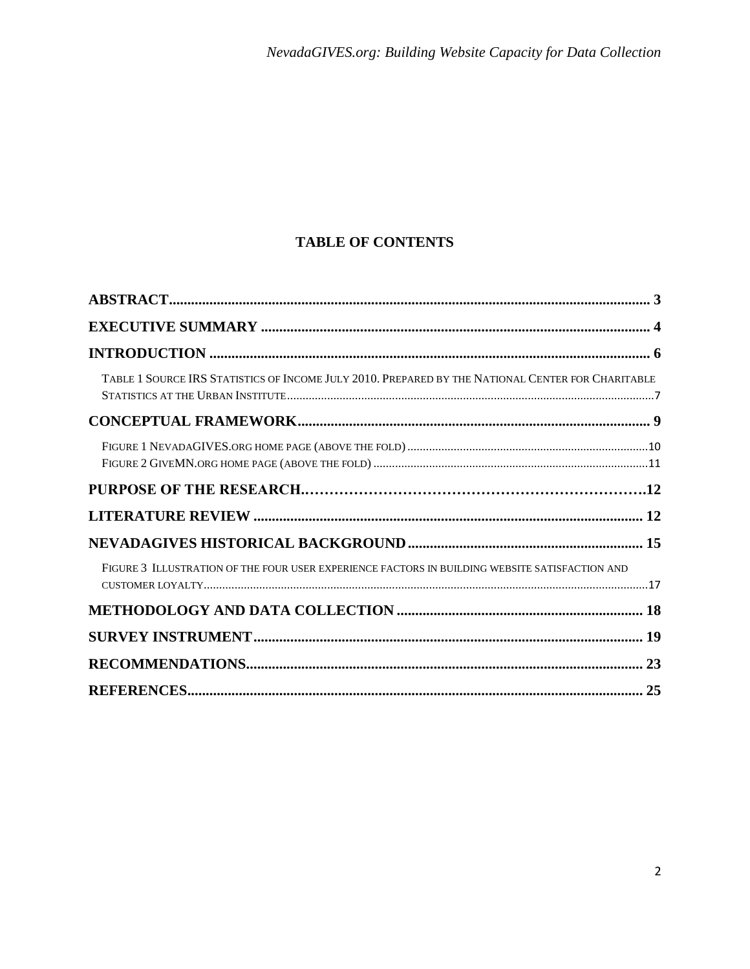# **TABLE OF CONTENTS**

| TABLE 1 SOURCE IRS STATISTICS OF INCOME JULY 2010. PREPARED BY THE NATIONAL CENTER FOR CHARITABLE |  |
|---------------------------------------------------------------------------------------------------|--|
|                                                                                                   |  |
|                                                                                                   |  |
|                                                                                                   |  |
|                                                                                                   |  |
|                                                                                                   |  |
| FIGURE 3 ILLUSTRATION OF THE FOUR USER EXPERIENCE FACTORS IN BUILDING WEBSITE SATISFACTION AND    |  |
|                                                                                                   |  |
|                                                                                                   |  |
|                                                                                                   |  |
|                                                                                                   |  |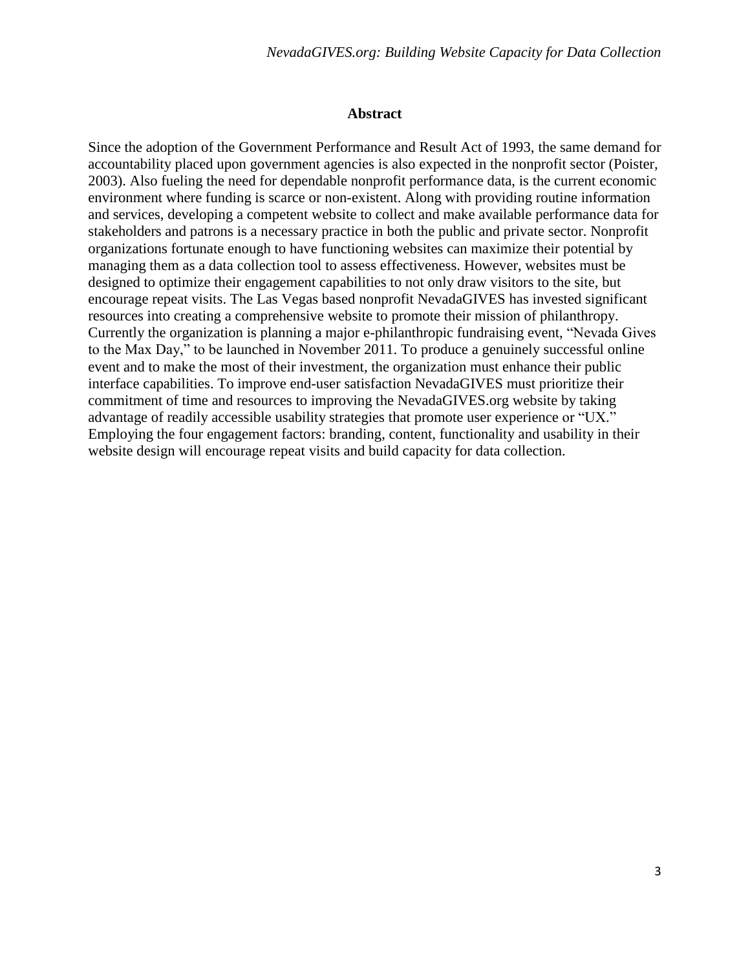#### **Abstract**

Since the adoption of the Government Performance and Result Act of 1993, the same demand for accountability placed upon government agencies is also expected in the nonprofit sector (Poister, 2003). Also fueling the need for dependable nonprofit performance data, is the current economic environment where funding is scarce or non-existent. Along with providing routine information and services, developing a competent website to collect and make available performance data for stakeholders and patrons is a necessary practice in both the public and private sector. Nonprofit organizations fortunate enough to have functioning websites can maximize their potential by managing them as a data collection tool to assess effectiveness. However, websites must be designed to optimize their engagement capabilities to not only draw visitors to the site, but encourage repeat visits. The Las Vegas based nonprofit NevadaGIVES has invested significant resources into creating a comprehensive website to promote their mission of philanthropy. Currently the organization is planning a major e-philanthropic fundraising event, "Nevada Gives" to the Max Day," to be launched in November 2011. To produce a genuinely successful online event and to make the most of their investment, the organization must enhance their public interface capabilities. To improve end-user satisfaction NevadaGIVES must prioritize their commitment of time and resources to improving the NevadaGIVES.org website by taking advantage of readily accessible usability strategies that promote user experience or "UX." Employing the four engagement factors: branding, content, functionality and usability in their website design will encourage repeat visits and build capacity for data collection.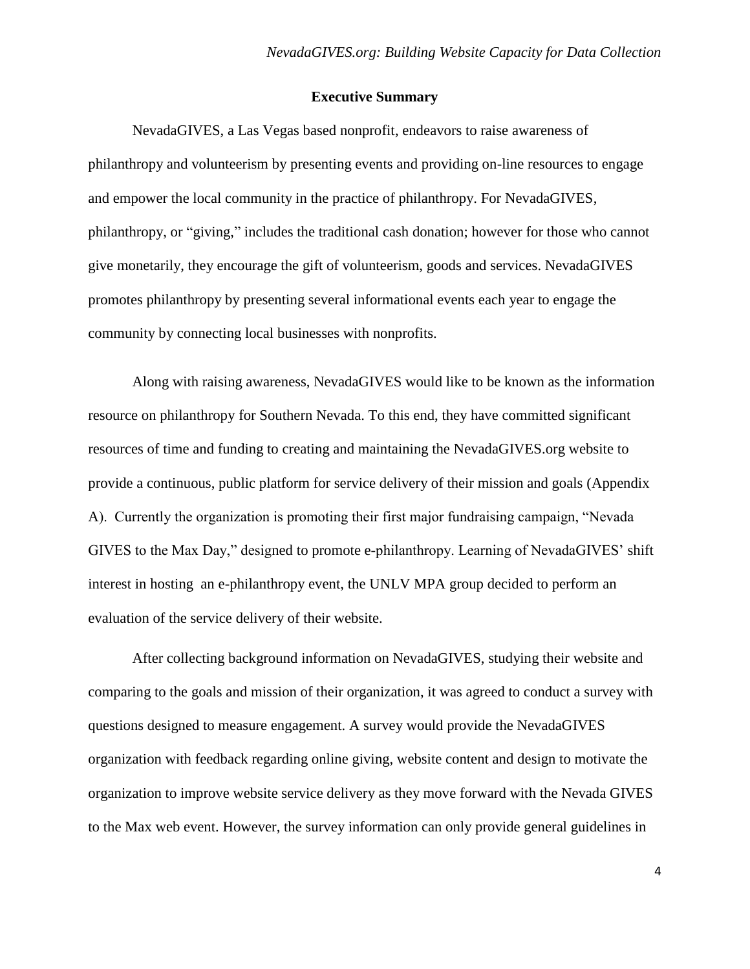# **Executive Summary**

NevadaGIVES, a Las Vegas based nonprofit, endeavors to raise awareness of philanthropy and volunteerism by presenting events and providing on-line resources to engage and empower the local community in the practice of philanthropy. For NevadaGIVES, philanthropy, or "giving," includes the traditional cash donation; however for those who cannot give monetarily, they encourage the gift of volunteerism, goods and services. NevadaGIVES promotes philanthropy by presenting several informational events each year to engage the community by connecting local businesses with nonprofits.

Along with raising awareness, NevadaGIVES would like to be known as the information resource on philanthropy for Southern Nevada. To this end, they have committed significant resources of time and funding to creating and maintaining the NevadaGIVES.org website to provide a continuous, public platform for service delivery of their mission and goals (Appendix A). Currently the organization is promoting their first major fundraising campaign, "Nevada" GIVES to the Max Day," designed to promote e-philanthropy. Learning of NevadaGIVES' shift interest in hosting an e-philanthropy event, the UNLV MPA group decided to perform an evaluation of the service delivery of their website.

After collecting background information on NevadaGIVES, studying their website and comparing to the goals and mission of their organization, it was agreed to conduct a survey with questions designed to measure engagement. A survey would provide the NevadaGIVES organization with feedback regarding online giving, website content and design to motivate the organization to improve website service delivery as they move forward with the Nevada GIVES to the Max web event. However, the survey information can only provide general guidelines in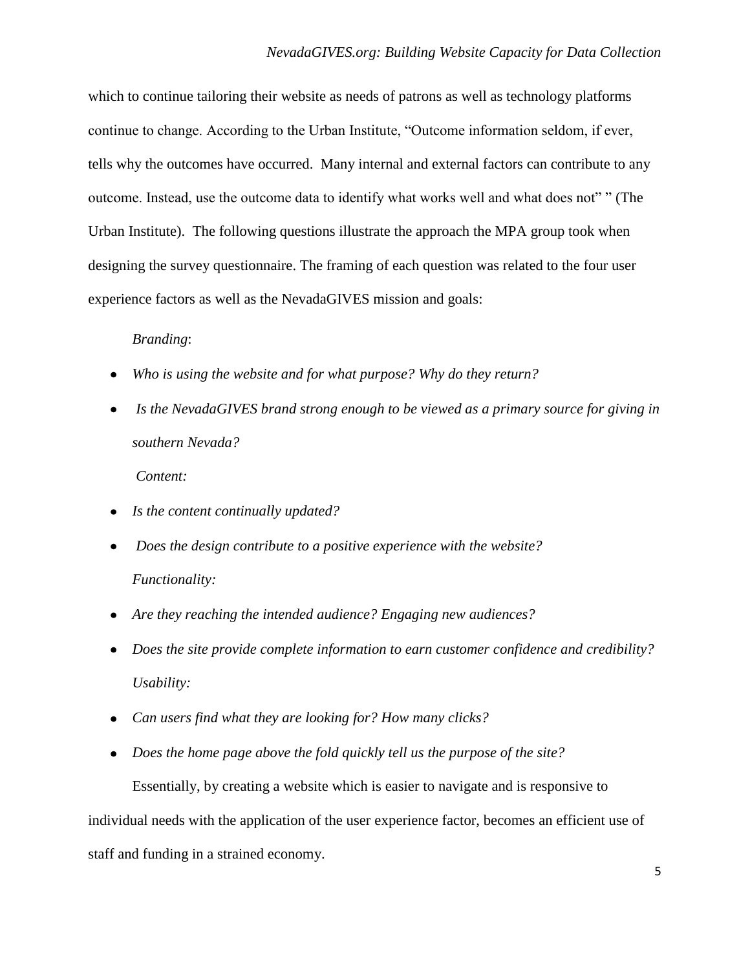which to continue tailoring their website as needs of patrons as well as technology platforms continue to change. According to the Urban Institute, "Outcome information seldom, if ever, tells why the outcomes have occurred. Many internal and external factors can contribute to any outcome. Instead, use the outcome data to identify what works well and what does not"" (The Urban Institute). The following questions illustrate the approach the MPA group took when designing the survey questionnaire. The framing of each question was related to the four user experience factors as well as the NevadaGIVES mission and goals:

# *Branding*:

- *Who is using the website and for what purpose? Why do they return?*
- *Is the NevadaGIVES brand strong enough to be viewed as a primary source for giving in southern Nevada?*

*Content:*

- *Is the content continually updated?*
- *Does the design contribute to a positive experience with the website? Functionality:*
- *Are they reaching the intended audience? Engaging new audiences?*
- *Does the site provide complete information to earn customer confidence and credibility? Usability:*
- *Can users find what they are looking for? How many clicks?*
- *Does the home page above the fold quickly tell us the purpose of the site?*

Essentially, by creating a website which is easier to navigate and is responsive to individual needs with the application of the user experience factor, becomes an efficient use of staff and funding in a strained economy.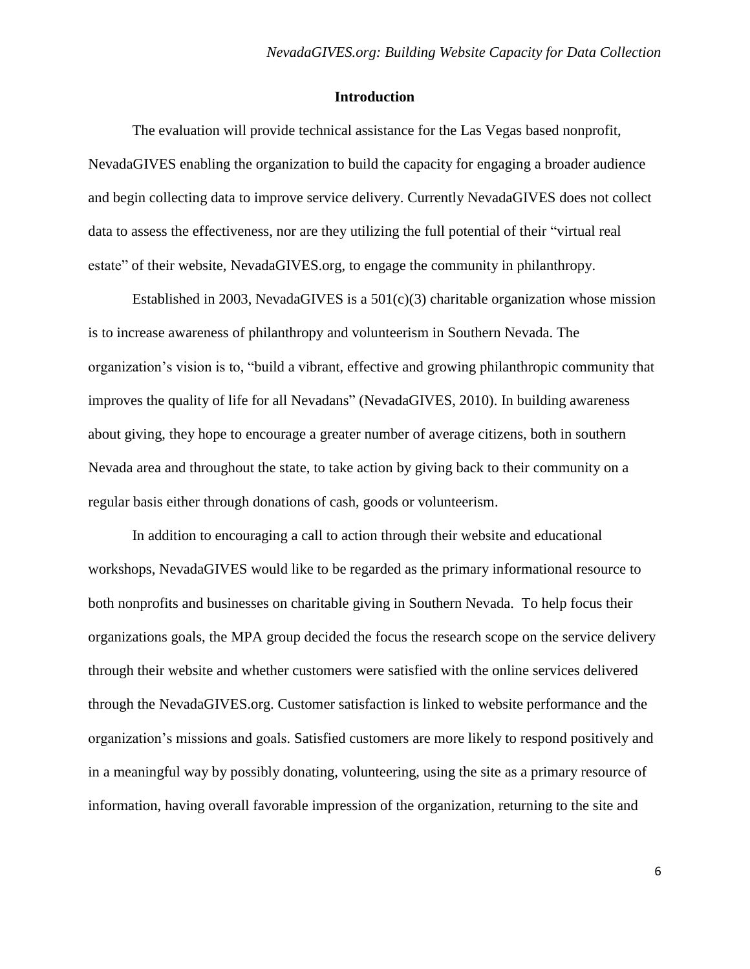# **Introduction**

The evaluation will provide technical assistance for the Las Vegas based nonprofit, NevadaGIVES enabling the organization to build the capacity for engaging a broader audience and begin collecting data to improve service delivery. Currently NevadaGIVES does not collect data to assess the effectiveness, nor are they utilizing the full potential of their "virtual real estate" of their website, NevadaGIVES.org, to engage the community in philanthropy.

Established in 2003, NevadaGIVES is a  $501(c)(3)$  charitable organization whose mission is to increase awareness of philanthropy and volunteerism in Southern Nevada. The organization's vision is to, "build a vibrant, effective and growing philanthropic community that improves the quality of life for all Nevadans" (NevadaGIVES, 2010). In building awareness about giving, they hope to encourage a greater number of average citizens, both in southern Nevada area and throughout the state, to take action by giving back to their community on a regular basis either through donations of cash, goods or volunteerism.

In addition to encouraging a call to action through their website and educational workshops, NevadaGIVES would like to be regarded as the primary informational resource to both nonprofits and businesses on charitable giving in Southern Nevada. To help focus their organizations goals, the MPA group decided the focus the research scope on the service delivery through their website and whether customers were satisfied with the online services delivered through the NevadaGIVES.org. Customer satisfaction is linked to website performance and the organization's missions and goals. Satisfied customers are more likely to respond positively and in a meaningful way by possibly donating, volunteering, using the site as a primary resource of information, having overall favorable impression of the organization, returning to the site and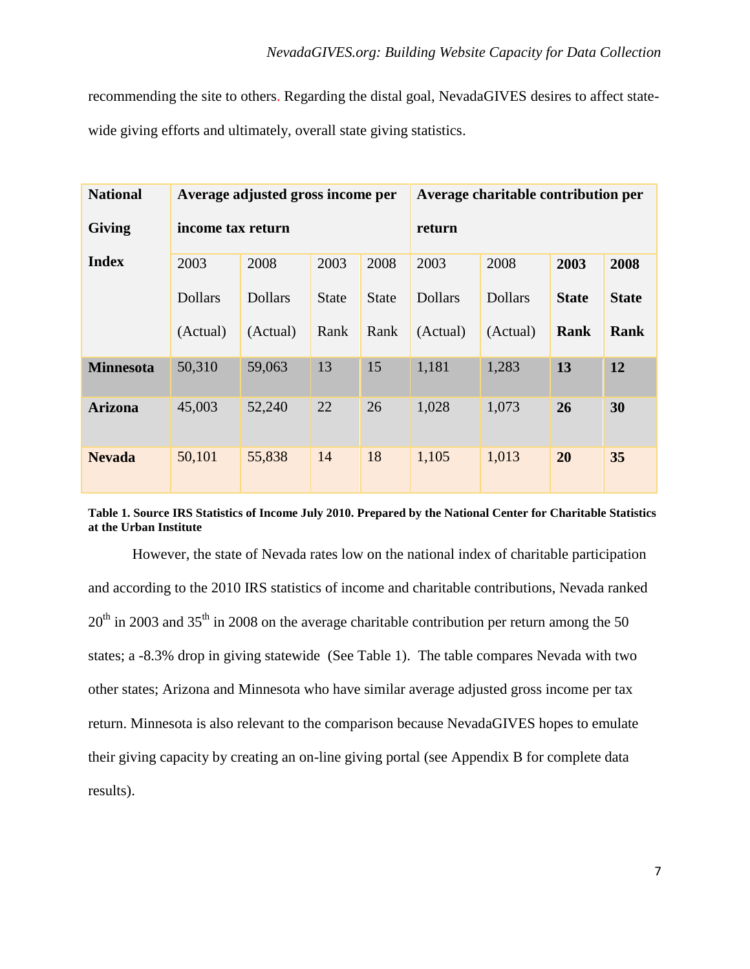recommending the site to others. Regarding the distal goal, NevadaGIVES desires to affect statewide giving efforts and ultimately, overall state giving statistics.

| <b>National</b>  | Average adjusted gross income per |                |              |              | Average charitable contribution per |                |              |              |
|------------------|-----------------------------------|----------------|--------------|--------------|-------------------------------------|----------------|--------------|--------------|
| <b>Giving</b>    | income tax return                 |                |              |              | return                              |                |              |              |
| <b>Index</b>     | 2003                              | 2008           | 2003         | 2008         | 2003                                | 2008           | 2003         | 2008         |
|                  | <b>Dollars</b>                    | <b>Dollars</b> | <b>State</b> | <b>State</b> | <b>Dollars</b>                      | <b>Dollars</b> | <b>State</b> | <b>State</b> |
|                  | (Actual)                          | (Actual)       | Rank         | Rank         | (Actual)                            | (Actual)       | Rank         | <b>Rank</b>  |
| <b>Minnesota</b> | 50,310                            | 59,063         | 13           | 15           | 1,181                               | 1,283          | 13           | 12           |
| <b>Arizona</b>   | 45,003                            | 52,240         | 22           | 26           | 1,028                               | 1,073          | 26           | 30           |
| <b>Nevada</b>    | 50,101                            | 55,838         | 14           | 18           | 1,105                               | 1,013          | 20           | 35           |

**Table 1. Source IRS Statistics of Income July 2010. Prepared by the National Center for Charitable Statistics at the Urban Institute**

However, the state of Nevada rates low on the national index of charitable participation and according to the 2010 IRS statistics of income and charitable contributions, Nevada ranked  $20<sup>th</sup>$  in 2003 and 35<sup>th</sup> in 2008 on the average charitable contribution per return among the 50 states; a -8.3% drop in giving statewide (See Table 1). The table compares Nevada with two other states; Arizona and Minnesota who have similar average adjusted gross income per tax return. Minnesota is also relevant to the comparison because NevadaGIVES hopes to emulate their giving capacity by creating an on-line giving portal (see Appendix B for complete data results).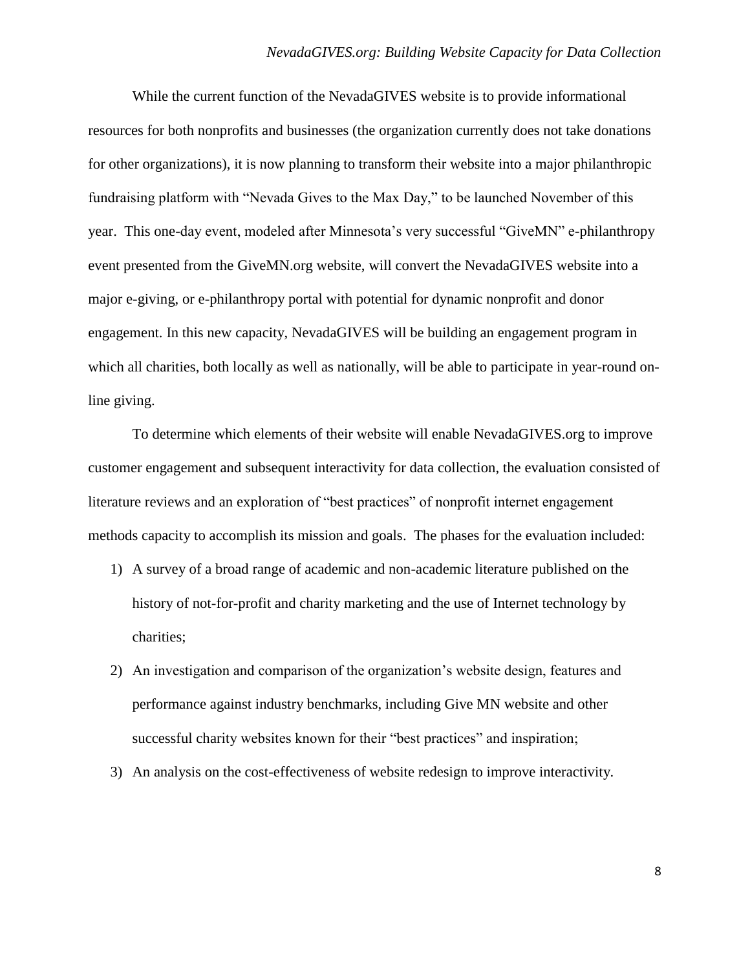While the current function of the NevadaGIVES website is to provide informational resources for both nonprofits and businesses (the organization currently does not take donations for other organizations), it is now planning to transform their website into a major philanthropic fundraising platform with "Nevada Gives to the Max Day," to be launched November of this year. This one-day event, modeled after Minnesota's very successful "GiveMN" e-philanthropy event presented from the GiveMN.org website, will convert the NevadaGIVES website into a major e-giving, or e-philanthropy portal with potential for dynamic nonprofit and donor engagement. In this new capacity, NevadaGIVES will be building an engagement program in which all charities, both locally as well as nationally, will be able to participate in year-round online giving.

To determine which elements of their website will enable NevadaGIVES.org to improve customer engagement and subsequent interactivity for data collection, the evaluation consisted of literature reviews and an exploration of "best practices" of nonprofit internet engagement methods capacity to accomplish its mission and goals. The phases for the evaluation included:

- 1) A survey of a broad range of academic and non-academic literature published on the history of not-for-profit and charity marketing and the use of Internet technology by charities;
- 2) An investigation and comparison of the organization's website design, features and performance against industry benchmarks, including Give MN website and other successful charity websites known for their "best practices" and inspiration;
- 3) An analysis on the cost-effectiveness of website redesign to improve interactivity.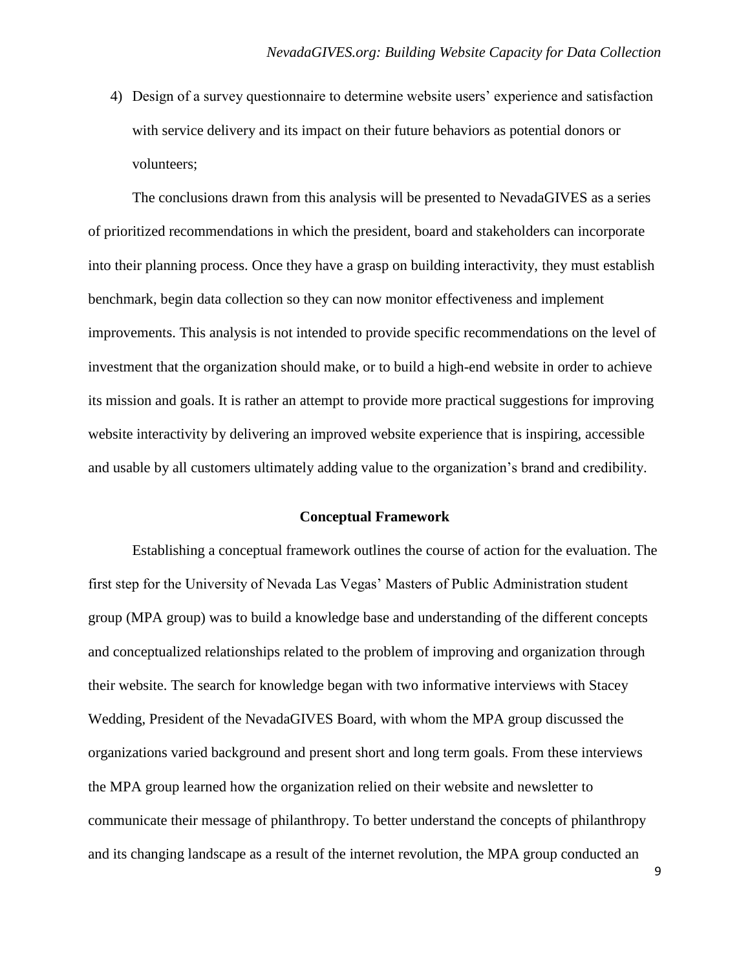4) Design of a survey questionnaire to determine website users' experience and satisfaction with service delivery and its impact on their future behaviors as potential donors or volunteers;

The conclusions drawn from this analysis will be presented to NevadaGIVES as a series of prioritized recommendations in which the president, board and stakeholders can incorporate into their planning process. Once they have a grasp on building interactivity, they must establish benchmark, begin data collection so they can now monitor effectiveness and implement improvements. This analysis is not intended to provide specific recommendations on the level of investment that the organization should make, or to build a high-end website in order to achieve its mission and goals. It is rather an attempt to provide more practical suggestions for improving website interactivity by delivering an improved website experience that is inspiring, accessible and usable by all customers ultimately adding value to the organization's brand and credibility.

#### **Conceptual Framework**

Establishing a conceptual framework outlines the course of action for the evaluation. The first step for the University of Nevada Las Vegas' Masters of Public Administration student group (MPA group) was to build a knowledge base and understanding of the different concepts and conceptualized relationships related to the problem of improving and organization through their website. The search for knowledge began with two informative interviews with Stacey Wedding, President of the NevadaGIVES Board, with whom the MPA group discussed the organizations varied background and present short and long term goals. From these interviews the MPA group learned how the organization relied on their website and newsletter to communicate their message of philanthropy. To better understand the concepts of philanthropy and its changing landscape as a result of the internet revolution, the MPA group conducted an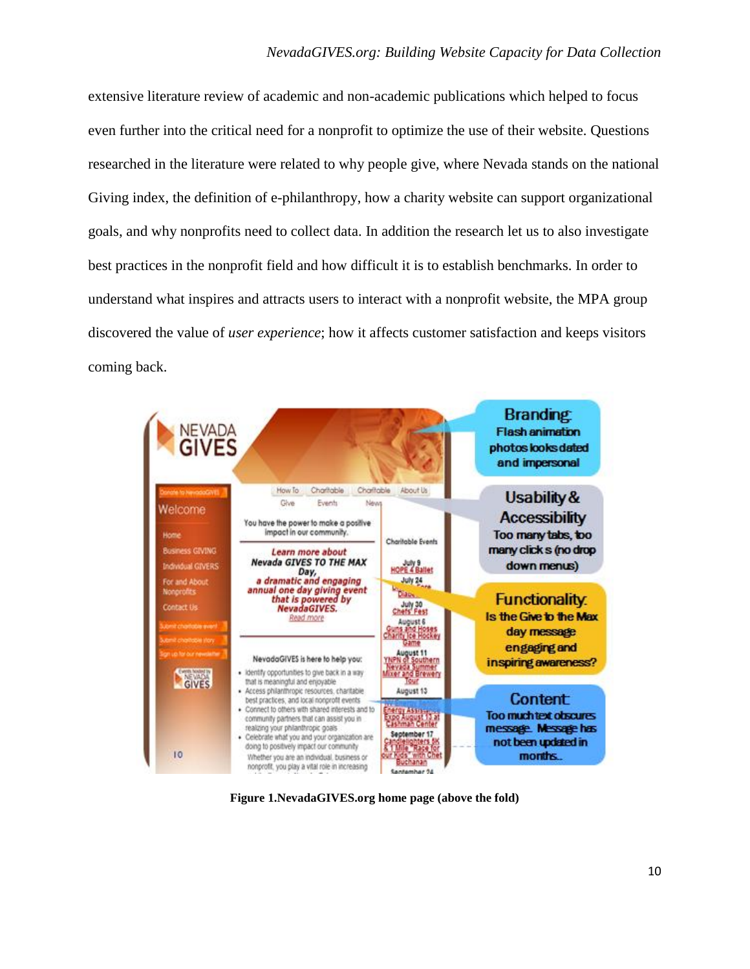extensive literature review of academic and non-academic publications which helped to focus even further into the critical need for a nonprofit to optimize the use of their website. Questions researched in the literature were related to why people give, where Nevada stands on the national Giving index, the definition of e-philanthropy, how a charity website can support organizational goals, and why nonprofits need to collect data. In addition the research let us to also investigate best practices in the nonprofit field and how difficult it is to establish benchmarks. In order to understand what inspires and attracts users to interact with a nonprofit website, the MPA group discovered the value of *user experience*; how it affects customer satisfaction and keeps visitors coming back.



**Figure 1.NevadaGIVES.org home page (above the fold)**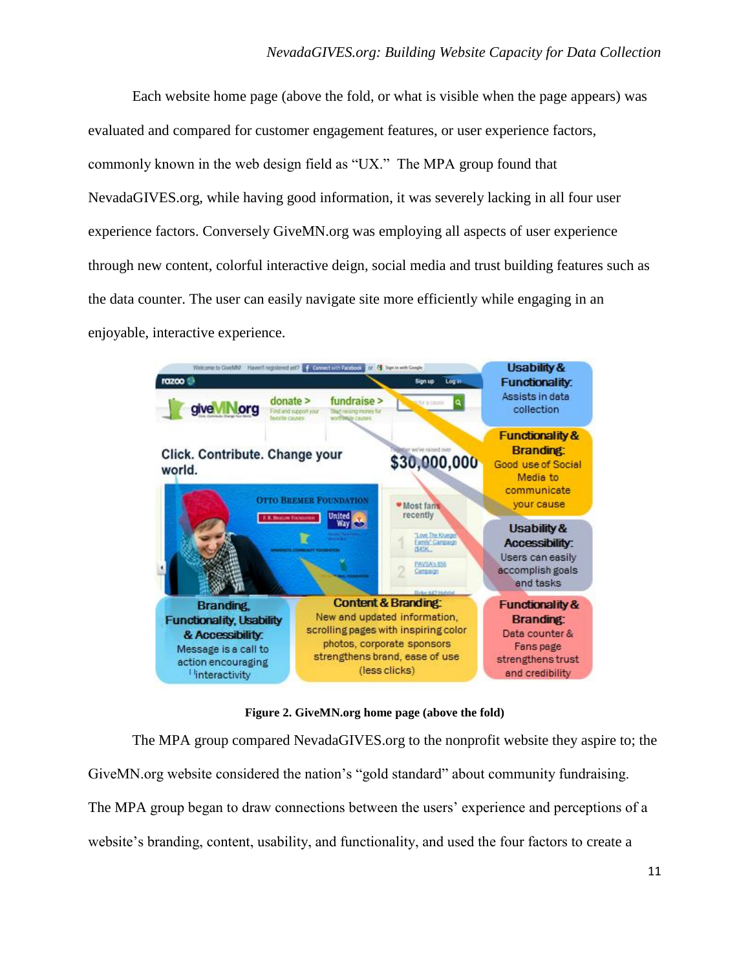Each website home page (above the fold, or what is visible when the page appears) was evaluated and compared for customer engagement features, or user experience factors, commonly known in the web design field as "UX." The MPA group found that NevadaGIVES.org, while having good information, it was severely lacking in all four user experience factors. Conversely GiveMN.org was employing all aspects of user experience through new content, colorful interactive deign, social media and trust building features such as the data counter. The user can easily navigate site more efficiently while engaging in an enjoyable, interactive experience.



**Figure 2. GiveMN.org home page (above the fold)**

The MPA group compared NevadaGIVES.org to the nonprofit website they aspire to; the GiveMN.org website considered the nation's "gold standard" about community fundraising. The MPA group began to draw connections between the users' experience and perceptions of a website's branding, content, usability, and functionality, and used the four factors to create a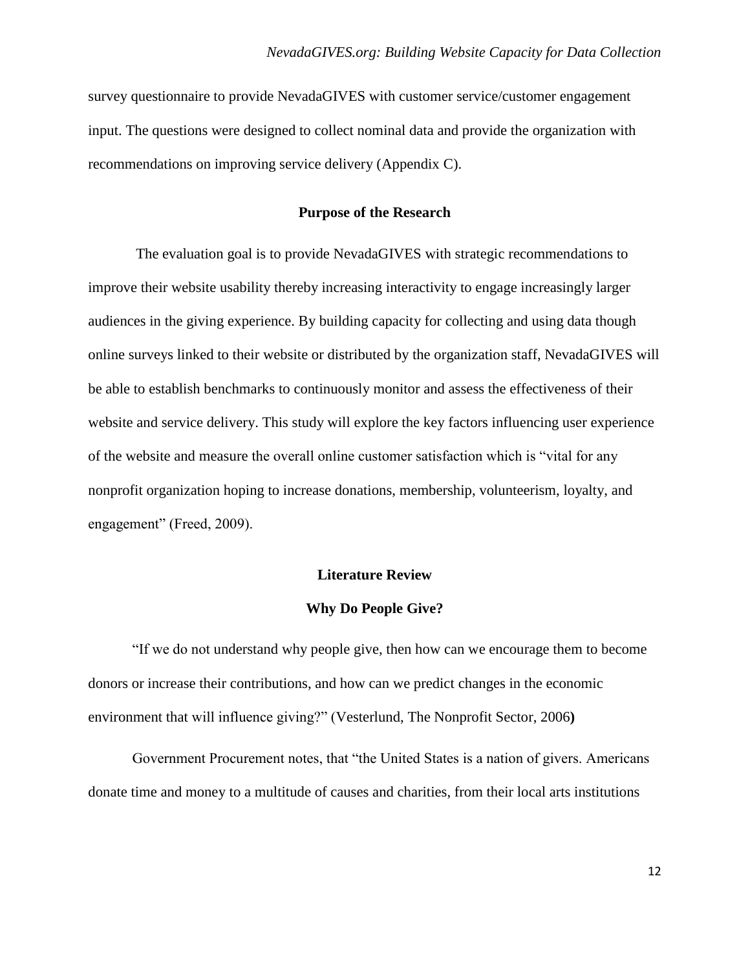survey questionnaire to provide NevadaGIVES with customer service/customer engagement input. The questions were designed to collect nominal data and provide the organization with recommendations on improving service delivery (Appendix C).

# **Purpose of the Research**

The evaluation goal is to provide NevadaGIVES with strategic recommendations to improve their website usability thereby increasing interactivity to engage increasingly larger audiences in the giving experience. By building capacity for collecting and using data though online surveys linked to their website or distributed by the organization staff, NevadaGIVES will be able to establish benchmarks to continuously monitor and assess the effectiveness of their website and service delivery. This study will explore the key factors influencing user experience of the website and measure the overall online customer satisfaction which is "vital for any nonprofit organization hoping to increase donations, membership, volunteerism, loyalty, and engagement" (Freed, 2009).

#### **Literature Review**

#### **Why Do People Give?**

―If we do not understand why people give, then how can we encourage them to become donors or increase their contributions, and how can we predict changes in the economic environment that will influence giving?" (Vesterlund, The Nonprofit Sector, 2006)

Government Procurement notes, that "the United States is a nation of givers. Americans donate time and money to a multitude of causes and charities, from their local arts institutions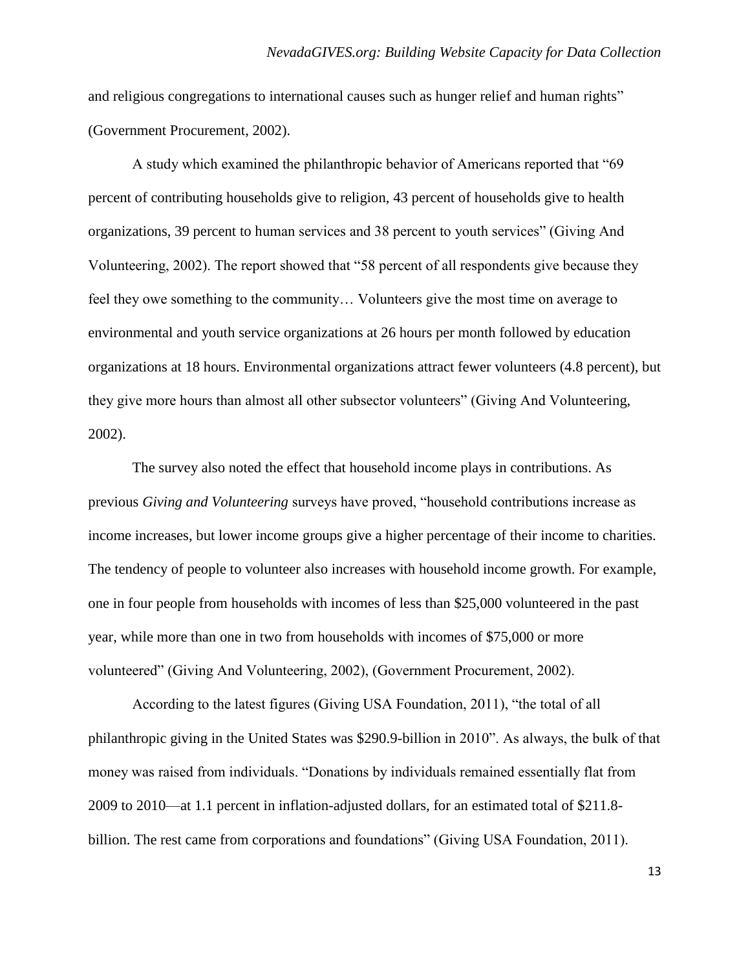and religious congregations to international causes such as hunger relief and human rights" (Government Procurement, 2002).

A study which examined the philanthropic behavior of Americans reported that "69" percent of contributing households give to religion, 43 percent of households give to health organizations, 39 percent to human services and 38 percent to youth services" (Giving And Volunteering, 2002). The report showed that "58 percent of all respondents give because they feel they owe something to the community… Volunteers give the most time on average to environmental and youth service organizations at 26 hours per month followed by education organizations at 18 hours. Environmental organizations attract fewer volunteers (4.8 percent), but they give more hours than almost all other subsector volunteers" (Giving And Volunteering, 2002).

The survey also noted the effect that household income plays in contributions. As previous *Giving and Volunteering* surveys have proved, "household contributions increase as income increases, but lower income groups give a higher percentage of their income to charities. The tendency of people to volunteer also increases with household income growth. For example, one in four people from households with incomes of less than \$25,000 volunteered in the past year, while more than one in two from households with incomes of \$75,000 or more volunteered" (Giving And Volunteering, 2002), (Government Procurement, 2002).

According to the latest figures (Giving USA Foundation, 2011), "the total of all philanthropic giving in the United States was \$290.9-billion in 2010". As always, the bulk of that money was raised from individuals. "Donations by individuals remained essentially flat from 2009 to 2010—at 1.1 percent in inflation-adjusted dollars, for an estimated total of \$211.8 billion. The rest came from corporations and foundations" (Giving USA Foundation, 2011).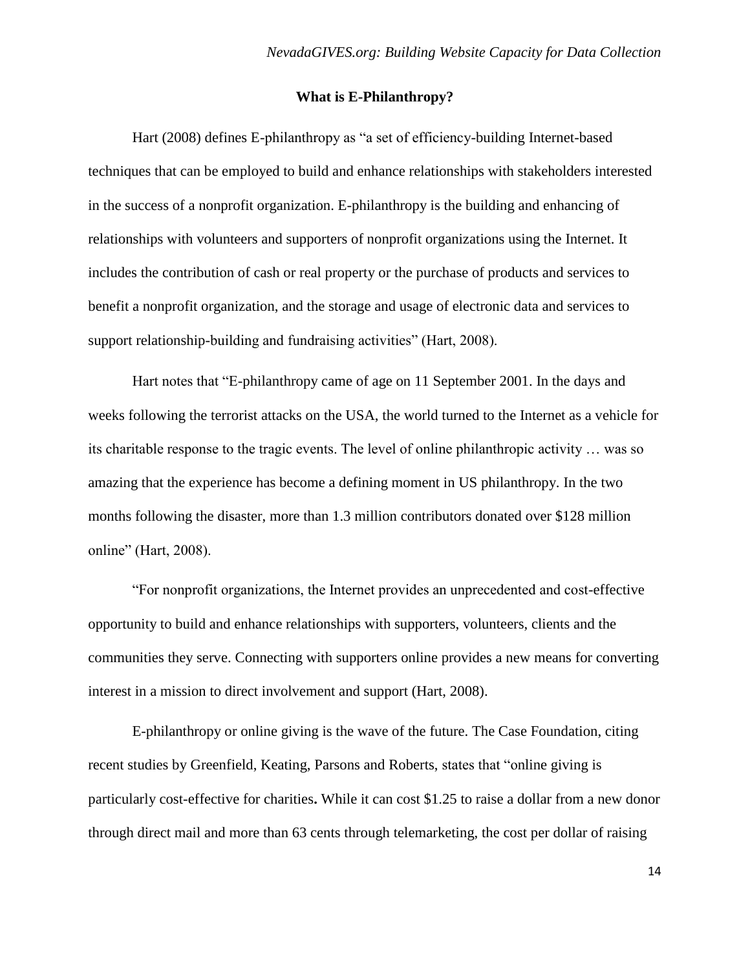# **What is E-Philanthropy?**

Hart (2008) defines E-philanthropy as "a set of efficiency-building Internet-based techniques that can be employed to build and enhance relationships with stakeholders interested in the success of a nonprofit organization. E-philanthropy is the building and enhancing of relationships with volunteers and supporters of nonprofit organizations using the Internet. It includes the contribution of cash or real property or the purchase of products and services to benefit a nonprofit organization, and the storage and usage of electronic data and services to support relationship-building and fundraising activities" (Hart, 2008).

Hart notes that "E-philanthropy came of age on 11 September 2001. In the days and weeks following the terrorist attacks on the USA, the world turned to the Internet as a vehicle for its charitable response to the tragic events. The level of online philanthropic activity … was so amazing that the experience has become a defining moment in US philanthropy. In the two months following the disaster, more than 1.3 million contributors donated over \$128 million online" (Hart, 2008).

―For nonprofit organizations, the Internet provides an unprecedented and cost-effective opportunity to build and enhance relationships with supporters, volunteers, clients and the communities they serve. Connecting with supporters online provides a new means for converting interest in a mission to direct involvement and support (Hart, 2008).

E-philanthropy or online giving is the wave of the future. The Case Foundation, citing recent studies by Greenfield, Keating, Parsons and Roberts, states that "online giving is particularly cost-effective for charities**.** While it can cost \$1.25 to raise a dollar from a new donor through direct mail and more than 63 cents through telemarketing, the cost per dollar of raising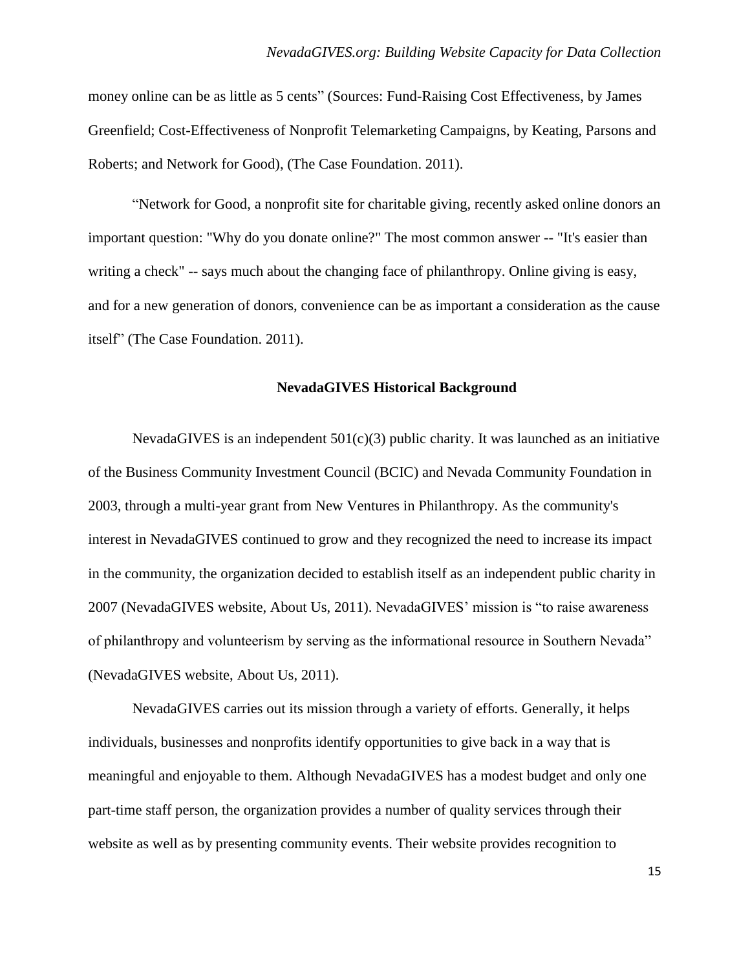money online can be as little as 5 cents" (Sources: Fund-Raising Cost Effectiveness, by James Greenfield; Cost-Effectiveness of Nonprofit Telemarketing Campaigns, by Keating, Parsons and Roberts; and Network for Good), (The Case Foundation. 2011).

―Network for Good, a nonprofit site for charitable giving, recently asked online donors an important question: "Why do you donate online?" The most common answer -- "It's easier than writing a check" -- says much about the changing face of philanthropy. Online giving is easy, and for a new generation of donors, convenience can be as important a consideration as the cause itself" (The Case Foundation. 2011).

#### **NevadaGIVES Historical Background**

NevadaGIVES is an independent  $501(c)(3)$  public charity. It was launched as an initiative of the Business Community Investment Council (BCIC) and Nevada Community Foundation in 2003, through a multi-year grant from New Ventures in Philanthropy. As the community's interest in NevadaGIVES continued to grow and they recognized the need to increase its impact in the community, the organization decided to establish itself as an independent public charity in 2007 (NevadaGIVES website, About Us, 2011). NevadaGIVES' mission is "to raise awareness" of philanthropy and volunteerism by serving as the informational resource in Southern Nevada" (NevadaGIVES website, About Us, 2011).

NevadaGIVES carries out its mission through a variety of efforts. Generally, it helps individuals, businesses and nonprofits identify opportunities to give back in a way that is meaningful and enjoyable to them. Although NevadaGIVES has a modest budget and only one part-time staff person, the organization provides a number of quality services through their website as well as by presenting community events. Their website provides recognition to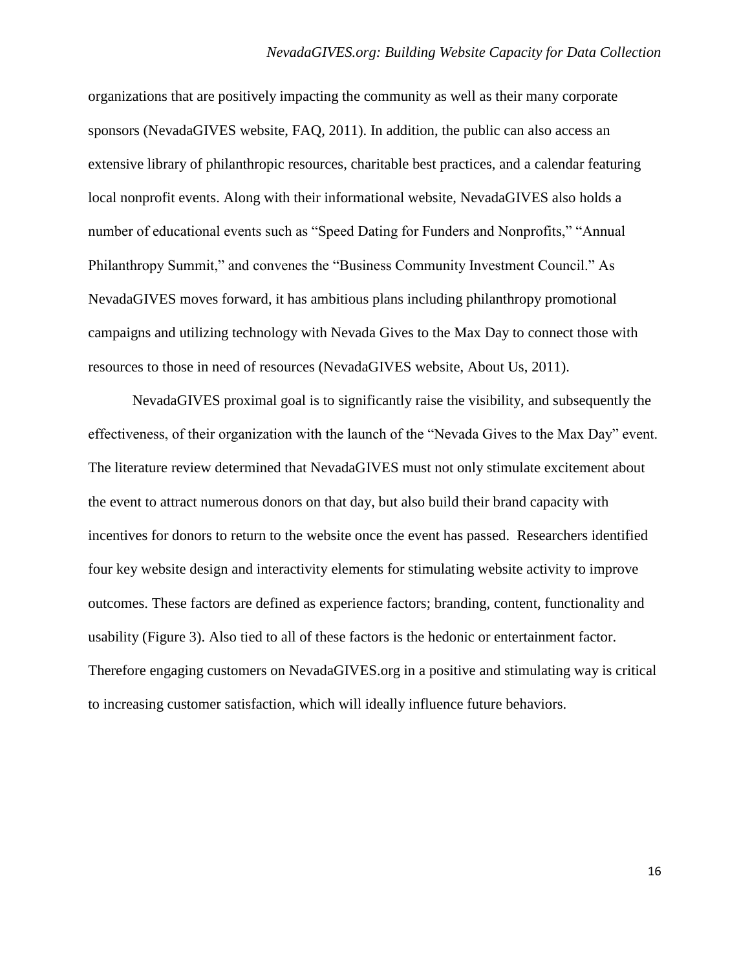organizations that are positively impacting the community as well as their many corporate sponsors (NevadaGIVES website, FAQ, 2011). In addition, the public can also access an extensive library of philanthropic resources, charitable best practices, and a calendar featuring local nonprofit events. Along with their informational website, NevadaGIVES also holds a number of educational events such as "Speed Dating for Funders and Nonprofits," "Annual Philanthropy Summit," and convenes the "Business Community Investment Council." As NevadaGIVES moves forward, it has ambitious plans including philanthropy promotional campaigns and utilizing technology with Nevada Gives to the Max Day to connect those with resources to those in need of resources (NevadaGIVES website, About Us, 2011).

NevadaGIVES proximal goal is to significantly raise the visibility, and subsequently the effectiveness, of their organization with the launch of the "Nevada Gives to the Max Day" event. The literature review determined that NevadaGIVES must not only stimulate excitement about the event to attract numerous donors on that day, but also build their brand capacity with incentives for donors to return to the website once the event has passed. Researchers identified four key website design and interactivity elements for stimulating website activity to improve outcomes. These factors are defined as experience factors; branding, content, functionality and usability (Figure 3). Also tied to all of these factors is the hedonic or entertainment factor. Therefore engaging customers on NevadaGIVES.org in a positive and stimulating way is critical to increasing customer satisfaction, which will ideally influence future behaviors.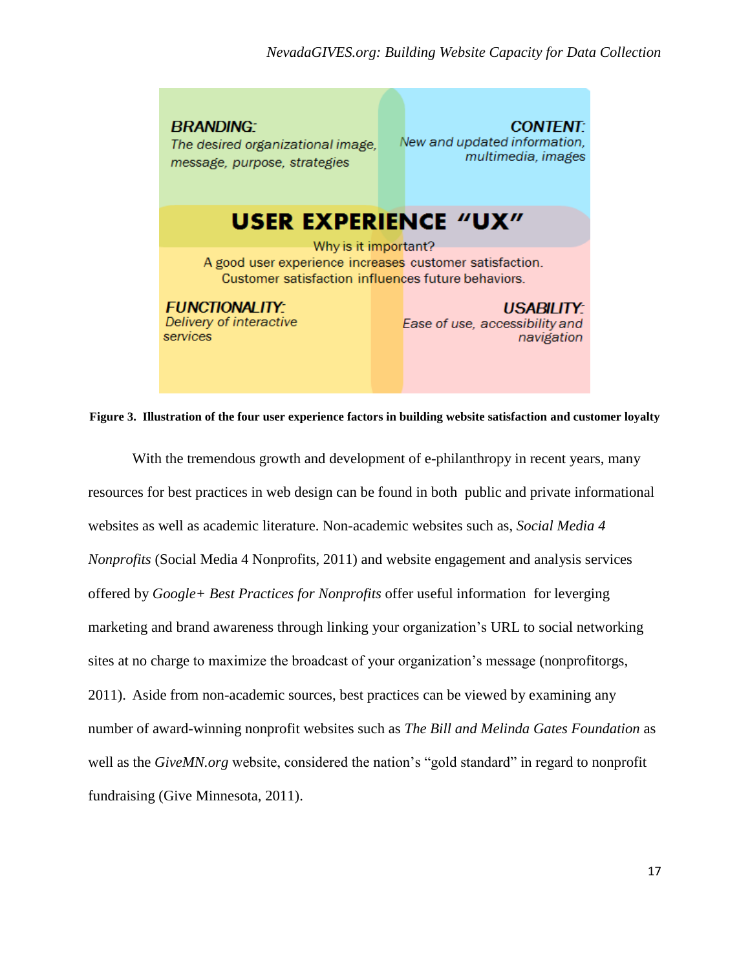**BRANDING:** The desired organizational image, message, purpose, strategies

**CONTENT** New and updated information. multimedia, images

# **USER EXPERIENCE "UX"**

Why is it important? A good user experience increases customer satisfaction. Customer satisfaction influences future behaviors.

# **FUNCTIONALITY:**

Delivery of interactive services

USABILITY: Ease of use, accessibility and navigation

**Figure 3. Illustration of the four user experience factors in building website satisfaction and customer loyalty**

With the tremendous growth and development of e-philanthropy in recent years, many resources for best practices in web design can be found in both public and private informational websites as well as academic literature. Non-academic websites such as, *Social Media 4 Nonprofits* (Social Media 4 Nonprofits, 2011) and website engagement and analysis services offered by *Google+ Best Practices for Nonprofits* offer useful information for leverging marketing and brand awareness through linking your organization's URL to social networking sites at no charge to maximize the broadcast of your organization's message (nonprofitorgs, 2011). Aside from non-academic sources, best practices can be viewed by examining any number of award-winning nonprofit websites such as *The Bill and Melinda Gates Foundation* as well as the *GiveMN.org* website, considered the nation's "gold standard" in regard to nonprofit fundraising (Give Minnesota, 2011).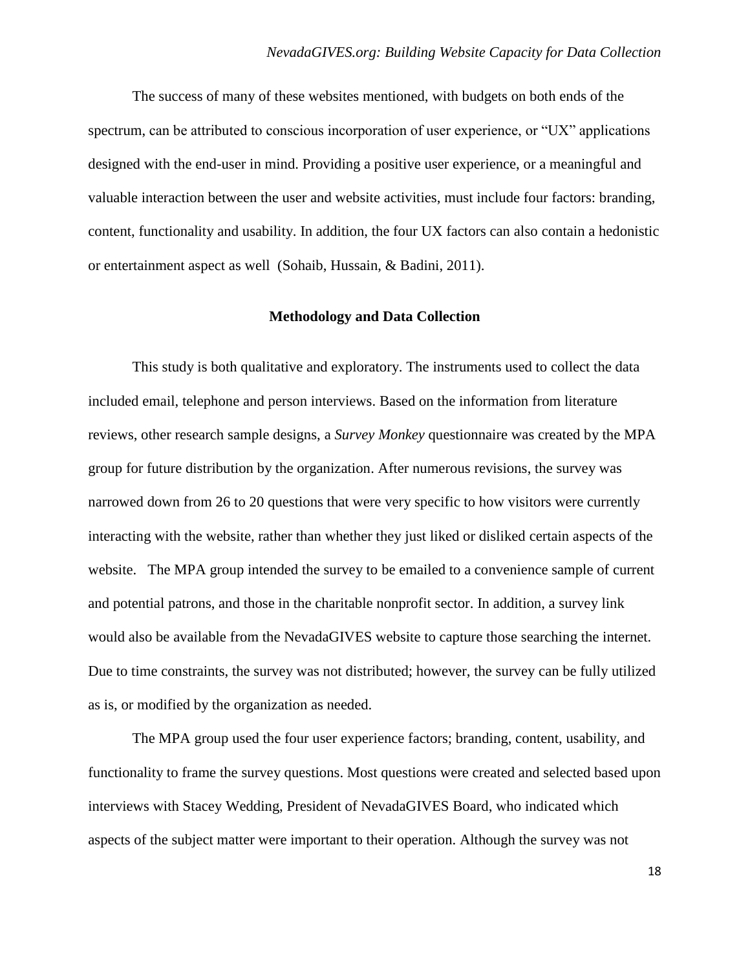The success of many of these websites mentioned, with budgets on both ends of the spectrum, can be attributed to conscious incorporation of user experience, or "UX" applications designed with the end-user in mind. Providing a positive user experience, or a meaningful and valuable interaction between the user and website activities, must include four factors: branding, content, functionality and usability. In addition, the four UX factors can also contain a hedonistic or entertainment aspect as well (Sohaib, Hussain, & Badini, 2011).

# **Methodology and Data Collection**

This study is both qualitative and exploratory. The instruments used to collect the data included email, telephone and person interviews. Based on the information from literature reviews, other research sample designs, a *Survey Monkey* questionnaire was created by the MPA group for future distribution by the organization. After numerous revisions, the survey was narrowed down from 26 to 20 questions that were very specific to how visitors were currently interacting with the website, rather than whether they just liked or disliked certain aspects of the website. The MPA group intended the survey to be emailed to a convenience sample of current and potential patrons, and those in the charitable nonprofit sector. In addition, a survey link would also be available from the NevadaGIVES website to capture those searching the internet. Due to time constraints, the survey was not distributed; however, the survey can be fully utilized as is, or modified by the organization as needed.

 The MPA group used the four user experience factors; branding, content, usability, and functionality to frame the survey questions. Most questions were created and selected based upon interviews with Stacey Wedding, President of NevadaGIVES Board, who indicated which aspects of the subject matter were important to their operation. Although the survey was not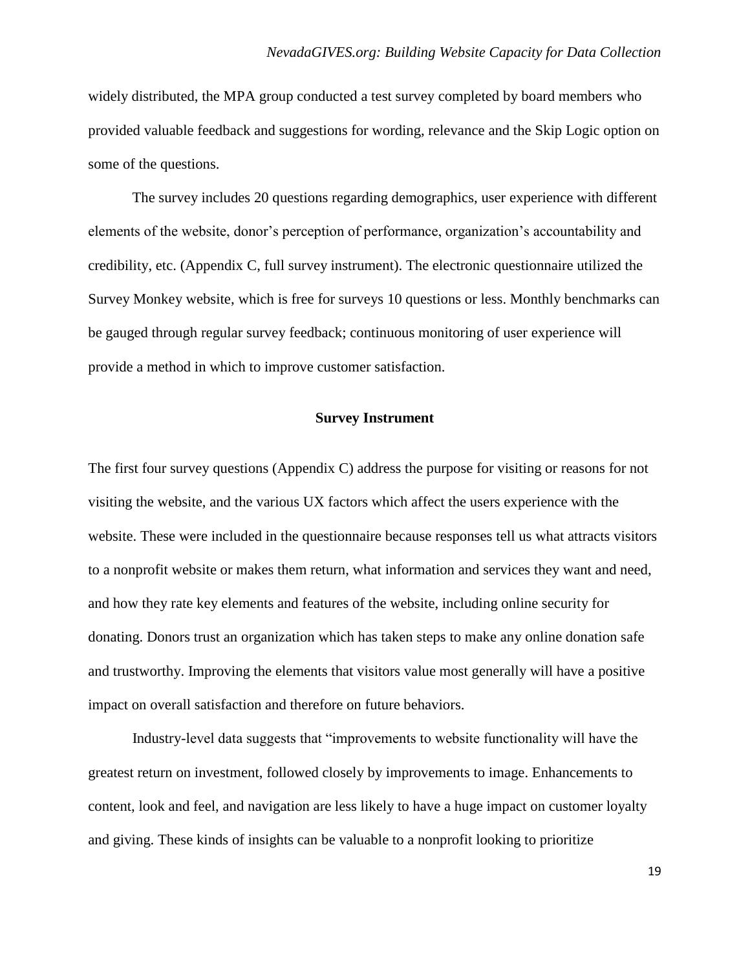widely distributed, the MPA group conducted a test survey completed by board members who provided valuable feedback and suggestions for wording, relevance and the Skip Logic option on some of the questions.

The survey includes 20 questions regarding demographics, user experience with different elements of the website, donor's perception of performance, organization's accountability and credibility, etc. (Appendix C, full survey instrument). The electronic questionnaire utilized the Survey Monkey website, which is free for surveys 10 questions or less. Monthly benchmarks can be gauged through regular survey feedback; continuous monitoring of user experience will provide a method in which to improve customer satisfaction.

# **Survey Instrument**

The first four survey questions (Appendix C) address the purpose for visiting or reasons for not visiting the website, and the various UX factors which affect the users experience with the website. These were included in the questionnaire because responses tell us what attracts visitors to a nonprofit website or makes them return, what information and services they want and need, and how they rate key elements and features of the website, including online security for donating. Donors trust an organization which has taken steps to make any online donation safe and trustworthy. Improving the elements that visitors value most generally will have a positive impact on overall satisfaction and therefore on future behaviors.

Industry-level data suggests that "improvements to website functionality will have the greatest return on investment, followed closely by improvements to image. Enhancements to content, look and feel, and navigation are less likely to have a huge impact on customer loyalty and giving. These kinds of insights can be valuable to a nonprofit looking to prioritize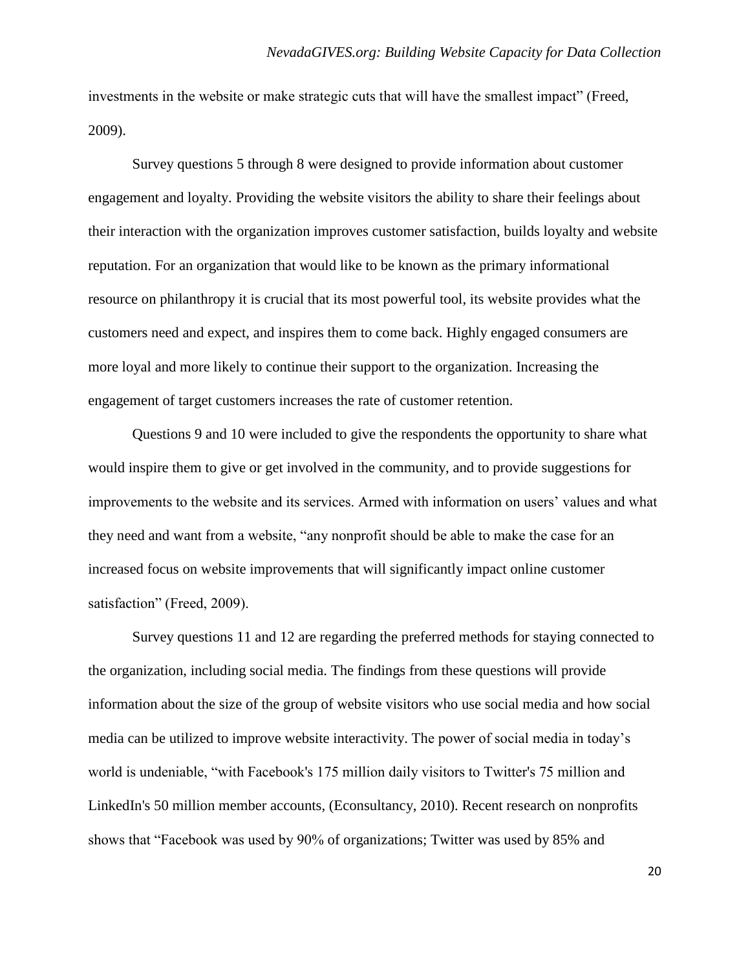investments in the website or make strategic cuts that will have the smallest impact" (Freed, 2009).

Survey questions 5 through 8 were designed to provide information about customer engagement and loyalty. Providing the website visitors the ability to share their feelings about their interaction with the organization improves customer satisfaction, builds loyalty and website reputation. For an organization that would like to be known as the primary informational resource on philanthropy it is crucial that its most powerful tool, its website provides what the customers need and expect, and inspires them to come back. Highly engaged consumers are more loyal and more likely to continue their support to the organization. Increasing the engagement of target customers increases the rate of customer retention.

Questions 9 and 10 were included to give the respondents the opportunity to share what would inspire them to give or get involved in the community, and to provide suggestions for improvements to the website and its services. Armed with information on users' values and what they need and want from a website, "any nonprofit should be able to make the case for an increased focus on website improvements that will significantly impact online customer satisfaction" (Freed, 2009).

Survey questions 11 and 12 are regarding the preferred methods for staying connected to the organization, including social media. The findings from these questions will provide information about the size of the group of website visitors who use social media and how social media can be utilized to improve website interactivity. The power of social media in today's world is undeniable, "with Facebook's 175 million daily visitors to Twitter's 75 million and LinkedIn's 50 million member accounts, (Econsultancy, 2010). Recent research on nonprofits shows that "Facebook was used by 90% of organizations; Twitter was used by 85% and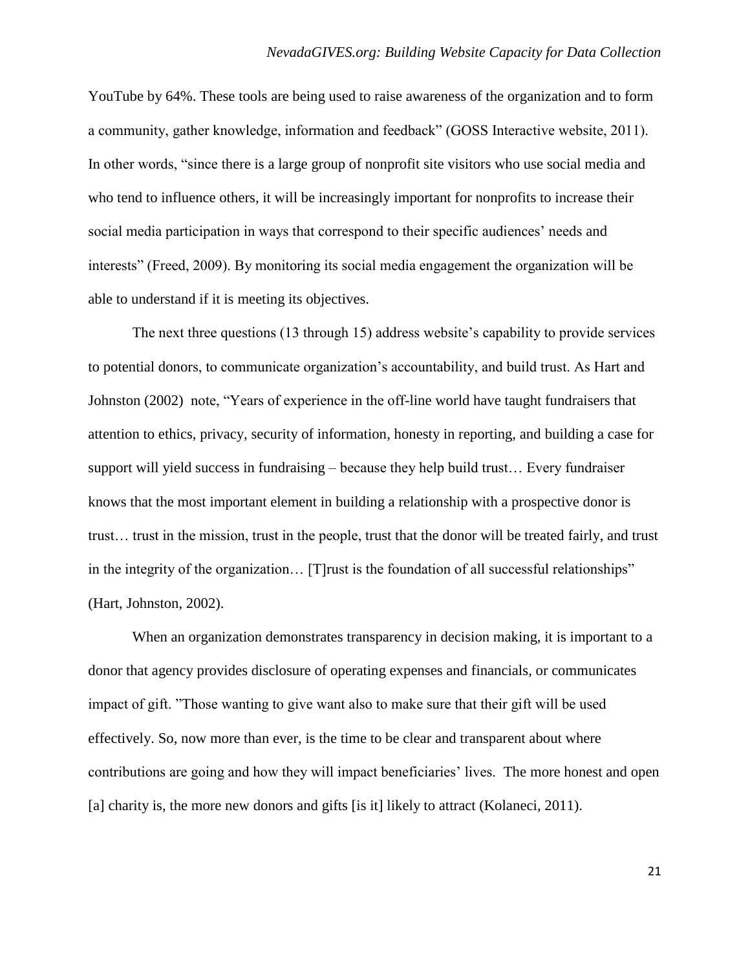YouTube by 64%. These tools are being used to raise awareness of the organization and to form a community, gather knowledge, information and feedback" (GOSS Interactive website, 2011). In other words, "since there is a large group of nonprofit site visitors who use social media and who tend to influence others, it will be increasingly important for nonprofits to increase their social media participation in ways that correspond to their specific audiences' needs and interests" (Freed, 2009). By monitoring its social media engagement the organization will be able to understand if it is meeting its objectives.

The next three questions (13 through 15) address website's capability to provide services to potential donors, to communicate organization's accountability, and build trust. As Hart and Johnston (2002) note, "Years of experience in the off-line world have taught fundraisers that attention to ethics, privacy, security of information, honesty in reporting, and building a case for support will yield success in fundraising – because they help build trust… Every fundraiser knows that the most important element in building a relationship with a prospective donor is trust… trust in the mission, trust in the people, trust that the donor will be treated fairly, and trust in the integrity of the organization... [T] rust is the foundation of all successful relationships" (Hart, Johnston, 2002).

When an organization demonstrates transparency in decision making, it is important to a donor that agency provides disclosure of operating expenses and financials, or communicates impact of gift. "Those wanting to give want also to make sure that their gift will be used effectively. So, now more than ever, is the time to be clear and transparent about where contributions are going and how they will impact beneficiaries' lives. The more honest and open [a] charity is, the more new donors and gifts [is it] likely to attract (Kolaneci, 2011).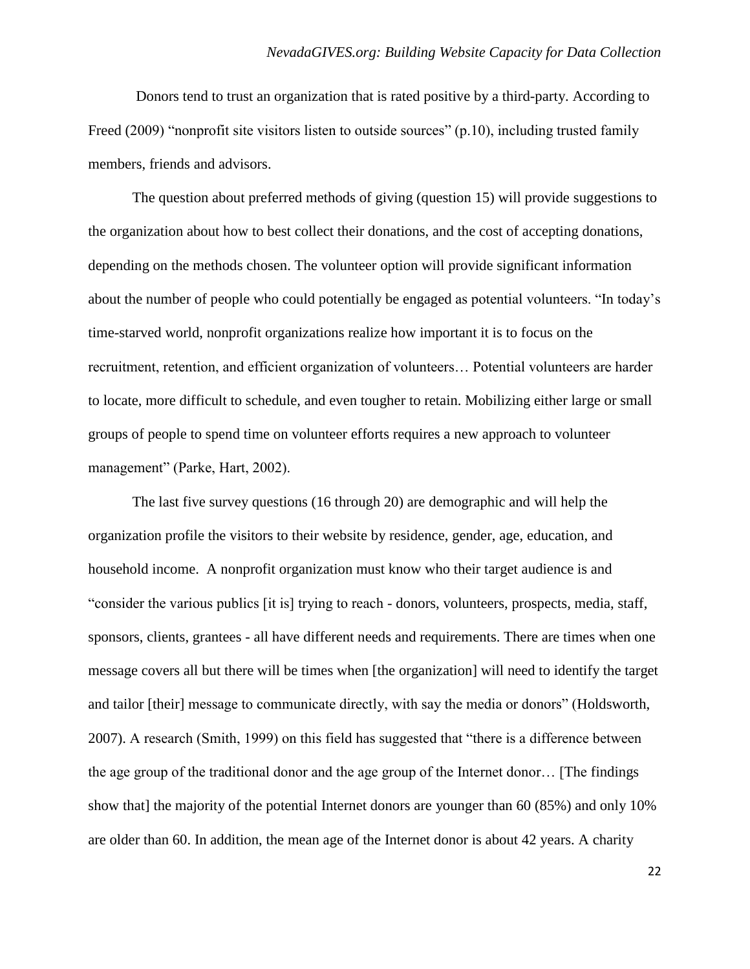Donors tend to trust an organization that is rated positive by a third-party. According to Freed (2009) "nonprofit site visitors listen to outside sources" (p.10), including trusted family members, friends and advisors.

The question about preferred methods of giving (question 15) will provide suggestions to the organization about how to best collect their donations, and the cost of accepting donations, depending on the methods chosen. The volunteer option will provide significant information about the number of people who could potentially be engaged as potential volunteers. "In today's time-starved world, nonprofit organizations realize how important it is to focus on the recruitment, retention, and efficient organization of volunteers… Potential volunteers are harder to locate, more difficult to schedule, and even tougher to retain. Mobilizing either large or small groups of people to spend time on volunteer efforts requires a new approach to volunteer management" (Parke, Hart, 2002).

The last five survey questions (16 through 20) are demographic and will help the organization profile the visitors to their website by residence, gender, age, education, and household income. A nonprofit organization must know who their target audience is and ―consider the various publics [it is] trying to reach - donors, volunteers, prospects, media, staff, sponsors, clients, grantees - all have different needs and requirements. There are times when one message covers all but there will be times when [the organization] will need to identify the target and tailor [their] message to communicate directly, with say the media or donors" (Holdsworth, 2007). A research (Smith, 1999) on this field has suggested that "there is a difference between the age group of the traditional donor and the age group of the Internet donor… [The findings show that] the majority of the potential Internet donors are younger than 60 (85%) and only 10% are older than 60. In addition, the mean age of the Internet donor is about 42 years. A charity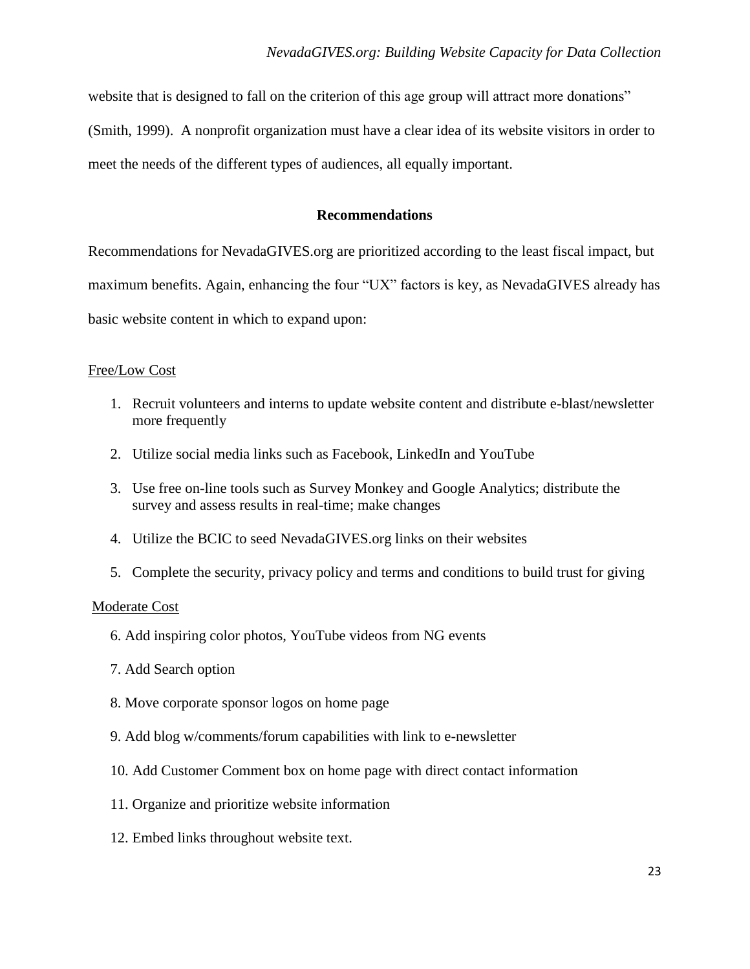website that is designed to fall on the criterion of this age group will attract more donations" (Smith, 1999). A nonprofit organization must have a clear idea of its website visitors in order to meet the needs of the different types of audiences, all equally important.

# **Recommendations**

Recommendations for NevadaGIVES.org are prioritized according to the least fiscal impact, but maximum benefits. Again, enhancing the four "UX" factors is key, as NevadaGIVES already has basic website content in which to expand upon:

# Free/Low Cost

- 1. Recruit volunteers and interns to update website content and distribute e-blast/newsletter more frequently
- 2. Utilize social media links such as Facebook, LinkedIn and YouTube
- 3. Use free on-line tools such as Survey Monkey and Google Analytics; distribute the survey and assess results in real-time; make changes
- 4. Utilize the BCIC to seed NevadaGIVES.org links on their websites
- 5. Complete the security, privacy policy and terms and conditions to build trust for giving

# Moderate Cost

- 6. Add inspiring color photos, YouTube videos from NG events
- 7. Add Search option
- 8. Move corporate sponsor logos on home page
- 9. Add blog w/comments/forum capabilities with link to e-newsletter
- 10. Add Customer Comment box on home page with direct contact information
- 11. Organize and prioritize website information
- 12. Embed links throughout website text.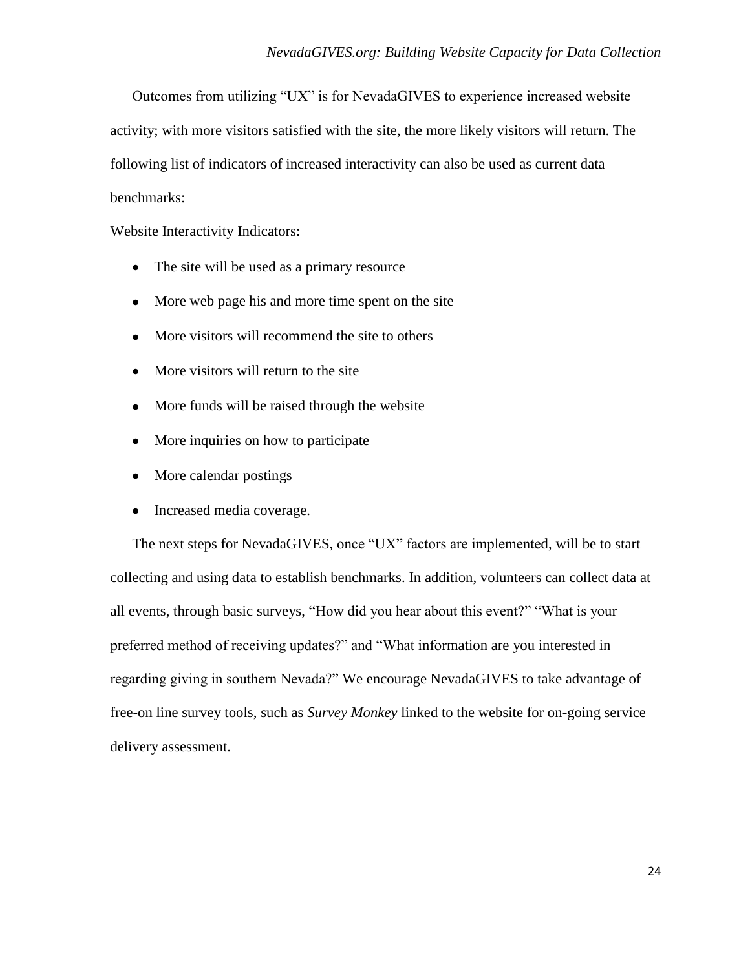Outcomes from utilizing "UX" is for NevadaGIVES to experience increased website activity; with more visitors satisfied with the site, the more likely visitors will return. The following list of indicators of increased interactivity can also be used as current data benchmarks:

Website Interactivity Indicators:

- The site will be used as a primary resource
- More web page his and more time spent on the site
- More visitors will recommend the site to others
- More visitors will return to the site
- More funds will be raised through the website
- More inquiries on how to participate
- More calendar postings
- Increased media coverage.

The next steps for NevadaGIVES, once "UX" factors are implemented, will be to start collecting and using data to establish benchmarks. In addition, volunteers can collect data at all events, through basic surveys, "How did you hear about this event?" "What is your preferred method of receiving updates?" and "What information are you interested in regarding giving in southern Nevada?" We encourage NevadaGIVES to take advantage of free-on line survey tools, such as *Survey Monkey* linked to the website for on-going service delivery assessment.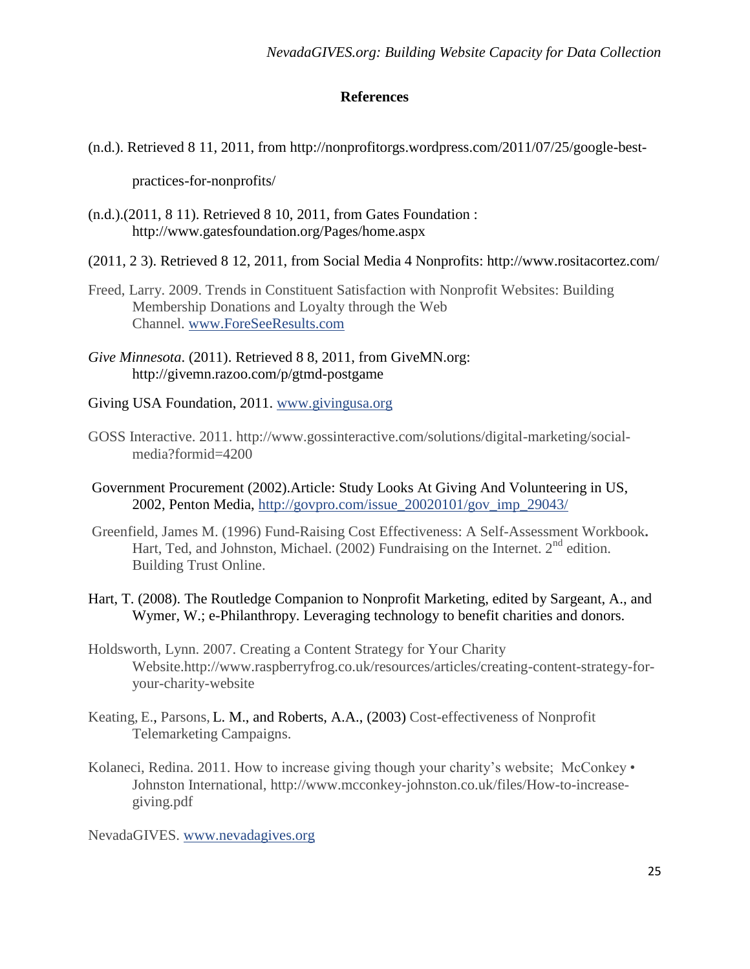# **References**

(n.d.). Retrieved 8 11, 2011, from http://nonprofitorgs.wordpress.com/2011/07/25/google-best-

practices-for-nonprofits/

- (n.d.).(2011, 8 11). Retrieved 8 10, 2011, from Gates Foundation : http://www.gatesfoundation.org/Pages/home.aspx
- (2011, 2 3). Retrieved 8 12, 2011, from Social Media 4 Nonprofits: http://www.rositacortez.com/
- Freed, Larry. 2009. Trends in Constituent Satisfaction with Nonprofit Websites: Building Membership Donations and Loyalty through the Web Channel. [www.ForeSeeResults.com](http://www.foreseeresults.com/)
- *Give Minnesota*. (2011). Retrieved 8 8, 2011, from GiveMN.org: http://givemn.razoo.com/p/gtmd-postgame
- Giving USA Foundation, 2011. [www.givingusa.org](http://www.givingusa.org/)
- GOSS Interactive. 2011. http://www.gossinteractive.com/solutions/digital-marketing/socialmedia?formid=4200
- Government Procurement (2002).Article: Study Looks At Giving And Volunteering in US, 2002, Penton Media, [http://govpro.com/issue\\_20020101/gov\\_imp\\_29043/](http://govpro.com/issue_20020101/gov_imp_29043/)
- Greenfield, James M. (1996) Fund-Raising Cost Effectiveness: A Self-Assessment Workbook**.** Hart, Ted, and Johnston, Michael. (2002) Fundraising on the Internet.  $2<sup>nd</sup>$  edition. Building Trust Online.
- Hart, T. (2008). The Routledge Companion to Nonprofit Marketing, edited by Sargeant, A., and Wymer, W.; e-Philanthropy. Leveraging technology to benefit charities and donors.
- Holdsworth, Lynn. 2007. Creating a Content Strategy for Your Charity Website.http://www.raspberryfrog.co.uk/resources/articles/creating-content-strategy-foryour-charity-website
- Keating, E., Parsons, L. M., and Roberts, A.A., (2003) Cost-effectiveness of Nonprofit Telemarketing Campaigns.
- Kolaneci, Redina. 2011. How to increase giving though your charity's website; McConkey Johnston International, http://www.mcconkey-johnston.co.uk/files/How-to-increasegiving.pdf

NevadaGIVES. [www.nevadagives.org](http://www.nevadagives.org/)